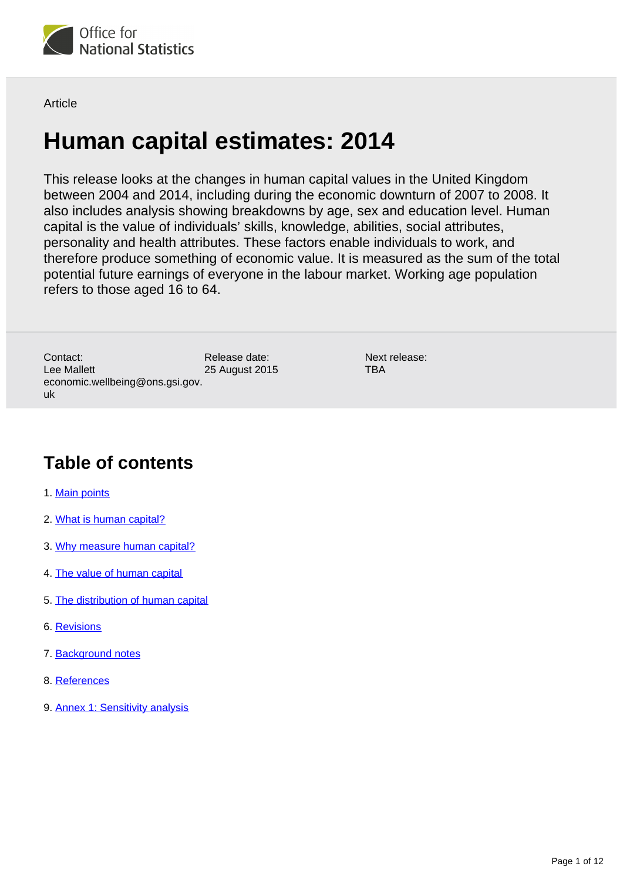

**Article** 

# **Human capital estimates: 2014**

This release looks at the changes in human capital values in the United Kingdom between 2004 and 2014, including during the economic downturn of 2007 to 2008. It also includes analysis showing breakdowns by age, sex and education level. Human capital is the value of individuals' skills, knowledge, abilities, social attributes, personality and health attributes. These factors enable individuals to work, and therefore produce something of economic value. It is measured as the sum of the total potential future earnings of everyone in the labour market. Working age population refers to those aged 16 to 64.

Release date: 25 August 2015 Contact: Lee Mallett economic.wellbeing@ons.gsi.gov. uk

Next release: **TBA** 

### **Table of contents**

- 1. [Main points](#page-1-0)
- 2. [What is human capital?](#page-1-1)
- 3. [Why measure human capital?](#page-2-0)
- 4. [The value of human capital](#page-3-0)
- 5. [The distribution of human capital](#page-5-0)
- 6. [Revisions](#page-7-0)
- 7. [Background notes](#page-8-0)
- 8. [References](#page-8-1)
- 9. [Annex 1: Sensitivity analysis](#page-9-0)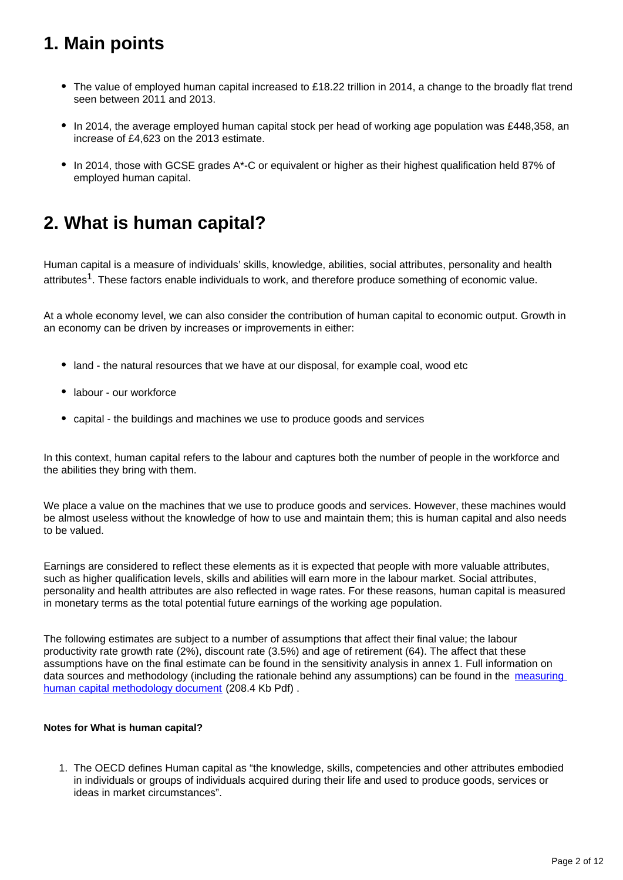### <span id="page-1-0"></span>**1. Main points**

- The value of employed human capital increased to £18.22 trillion in 2014, a change to the broadly flat trend seen between 2011 and 2013.
- In 2014, the average employed human capital stock per head of working age population was £448,358, an increase of £4,623 on the 2013 estimate.
- In 2014, those with GCSE grades A\*-C or equivalent or higher as their highest qualification held 87% of employed human capital.

### <span id="page-1-1"></span>**2. What is human capital?**

Human capital is a measure of individuals' skills, knowledge, abilities, social attributes, personality and health attributes<sup>1</sup>. These factors enable individuals to work, and therefore produce something of economic value.

At a whole economy level, we can also consider the contribution of human capital to economic output. Growth in an economy can be driven by increases or improvements in either:

- land the natural resources that we have at our disposal, for example coal, wood etc
- labour our workforce
- capital the buildings and machines we use to produce goods and services

In this context, human capital refers to the labour and captures both the number of people in the workforce and the abilities they bring with them.

We place a value on the machines that we use to produce goods and services. However, these machines would be almost useless without the knowledge of how to use and maintain them; this is human capital and also needs to be valued.

Earnings are considered to reflect these elements as it is expected that people with more valuable attributes, such as higher qualification levels, skills and abilities will earn more in the labour market. Social attributes, personality and health attributes are also reflected in wage rates. For these reasons, human capital is measured in monetary terms as the total potential future earnings of the working age population.

The following estimates are subject to a number of assumptions that affect their final value; the labour productivity rate growth rate (2%), discount rate (3.5%) and age of retirement (64). The affect that these assumptions have on the final estimate can be found in the sensitivity analysis in annex 1. Full information on data sources and methodology (including the rationale behind any assumptions) can be found in the measuring [human capital methodology document](http://www.ons.gov.uk/ons/guide-method/user-guidance/well-being/publications/human-capital---methodology-paper.pdf) (208.4 Kb Pdf).

#### **Notes for What is human capital?**

1. The OECD defines Human capital as "the knowledge, skills, competencies and other attributes embodied in individuals or groups of individuals acquired during their life and used to produce goods, services or ideas in market circumstances".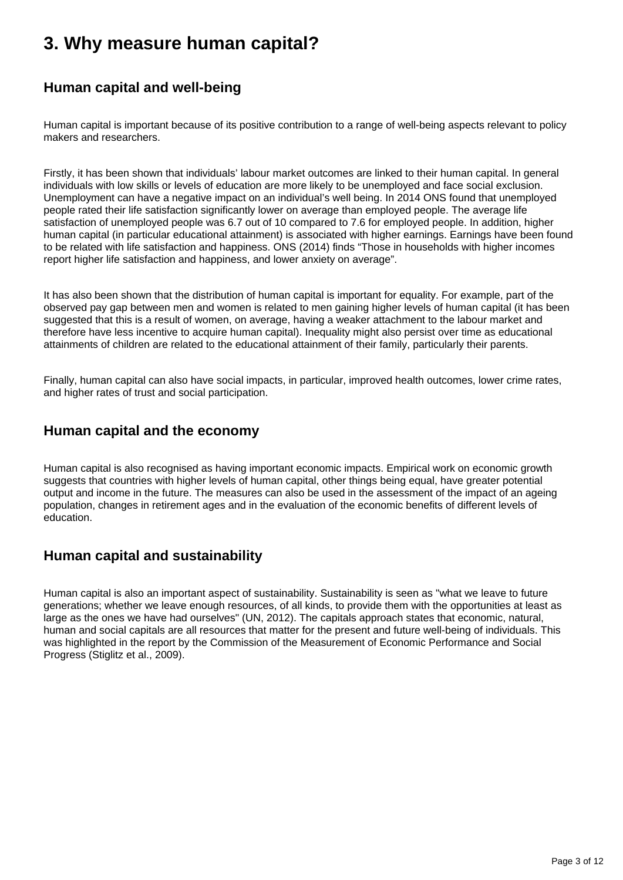### <span id="page-2-0"></span>**3. Why measure human capital?**

### **Human capital and well-being**

Human capital is important because of its positive contribution to a range of well-being aspects relevant to policy makers and researchers.

Firstly, it has been shown that individuals' labour market outcomes are linked to their human capital. In general individuals with low skills or levels of education are more likely to be unemployed and face social exclusion. Unemployment can have a negative impact on an individual's well being. In 2014 ONS found that unemployed people rated their life satisfaction significantly lower on average than employed people. The average life satisfaction of unemployed people was 6.7 out of 10 compared to 7.6 for employed people. In addition, higher human capital (in particular educational attainment) is associated with higher earnings. Earnings have been found to be related with life satisfaction and happiness. ONS (2014) finds "Those in households with higher incomes report higher life satisfaction and happiness, and lower anxiety on average".

It has also been shown that the distribution of human capital is important for equality. For example, part of the observed pay gap between men and women is related to men gaining higher levels of human capital (it has been suggested that this is a result of women, on average, having a weaker attachment to the labour market and therefore have less incentive to acquire human capital). Inequality might also persist over time as educational attainments of children are related to the educational attainment of their family, particularly their parents.

Finally, human capital can also have social impacts, in particular, improved health outcomes, lower crime rates, and higher rates of trust and social participation.

### **Human capital and the economy**

Human capital is also recognised as having important economic impacts. Empirical work on economic growth suggests that countries with higher levels of human capital, other things being equal, have greater potential output and income in the future. The measures can also be used in the assessment of the impact of an ageing population, changes in retirement ages and in the evaluation of the economic benefits of different levels of education.

### **Human capital and sustainability**

Human capital is also an important aspect of sustainability. Sustainability is seen as "what we leave to future generations; whether we leave enough resources, of all kinds, to provide them with the opportunities at least as large as the ones we have had ourselves" (UN, 2012). The capitals approach states that economic, natural, human and social capitals are all resources that matter for the present and future well-being of individuals. This was highlighted in the report by the Commission of the Measurement of Economic Performance and Social Progress (Stiglitz et al., 2009).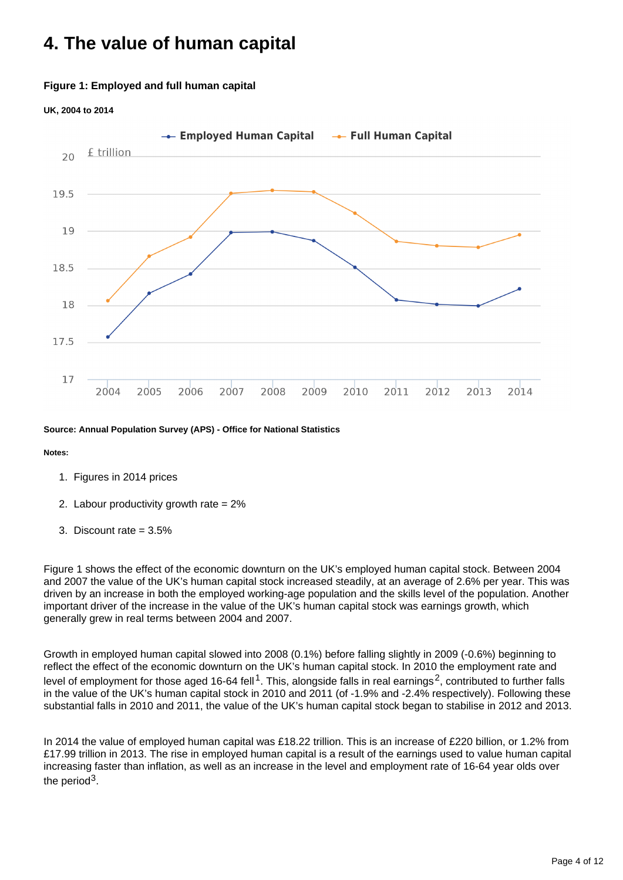## <span id="page-3-0"></span>**4. The value of human capital**

#### **Figure 1: Employed and full human capital**

#### **UK, 2004 to 2014**



**Source: Annual Population Survey (APS) - Office for National Statistics**

#### **Notes:**

- 1. Figures in 2014 prices
- 2. Labour productivity growth rate = 2%
- 3. Discount rate = 3.5%

Figure 1 shows the effect of the economic downturn on the UK's employed human capital stock. Between 2004 and 2007 the value of the UK's human capital stock increased steadily, at an average of 2.6% per year. This was driven by an increase in both the employed working-age population and the skills level of the population. Another important driver of the increase in the value of the UK's human capital stock was earnings growth, which generally grew in real terms between 2004 and 2007.

Growth in employed human capital slowed into 2008 (0.1%) before falling slightly in 2009 (-0.6%) beginning to reflect the effect of the economic downturn on the UK's human capital stock. In 2010 the employment rate and level of employment for those aged 16-64 fell<sup>1</sup>. This, alongside falls in real earnings<sup>2</sup>, contributed to further falls in the value of the UK's human capital stock in 2010 and 2011 (of -1.9% and -2.4% respectively). Following these substantial falls in 2010 and 2011, the value of the UK's human capital stock began to stabilise in 2012 and 2013.

In 2014 the value of employed human capital was £18.22 trillion. This is an increase of £220 billion, or 1.2% from £17.99 trillion in 2013. The rise in employed human capital is a result of the earnings used to value human capital increasing faster than inflation, as well as an increase in the level and employment rate of 16-64 year olds over the period<sup>3</sup>.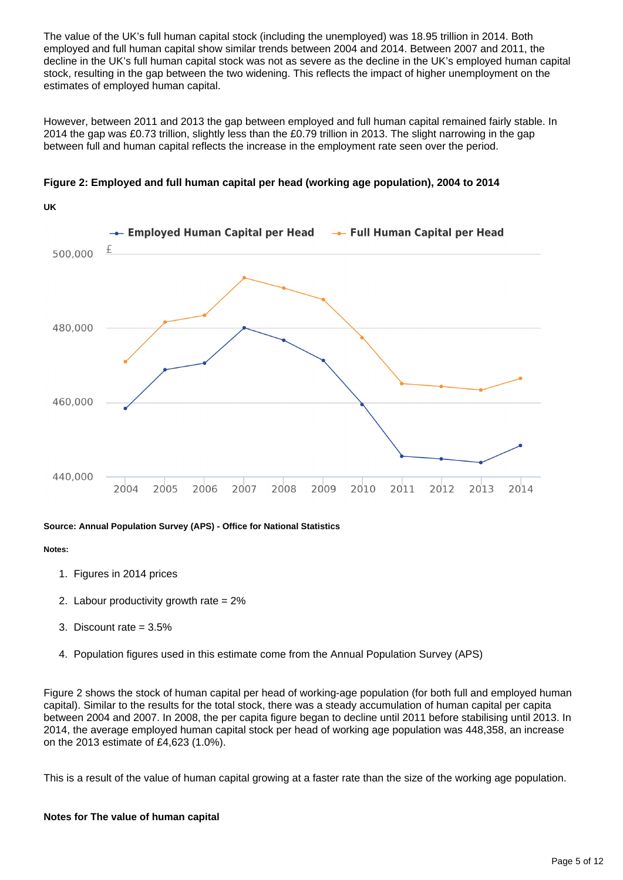The value of the UK's full human capital stock (including the unemployed) was 18.95 trillion in 2014. Both employed and full human capital show similar trends between 2004 and 2014. Between 2007 and 2011, the decline in the UK's full human capital stock was not as severe as the decline in the UK's employed human capital stock, resulting in the gap between the two widening. This reflects the impact of higher unemployment on the estimates of employed human capital.

However, between 2011 and 2013 the gap between employed and full human capital remained fairly stable. In 2014 the gap was £0.73 trillion, slightly less than the £0.79 trillion in 2013. The slight narrowing in the gap between full and human capital reflects the increase in the employment rate seen over the period.





#### **Source: Annual Population Survey (APS) - Office for National Statistics**

#### **Notes:**

- 1. Figures in 2014 prices
- 2. Labour productivity growth rate = 2%
- 3. Discount rate = 3.5%
- 4. Population figures used in this estimate come from the Annual Population Survey (APS)

Figure 2 shows the stock of human capital per head of working-age population (for both full and employed human capital). Similar to the results for the total stock, there was a steady accumulation of human capital per capita between 2004 and 2007. In 2008, the per capita figure began to decline until 2011 before stabilising until 2013. In 2014, the average employed human capital stock per head of working age population was 448,358, an increase on the 2013 estimate of £4,623 (1.0%).

This is a result of the value of human capital growing at a faster rate than the size of the working age population.

#### **Notes for The value of human capital**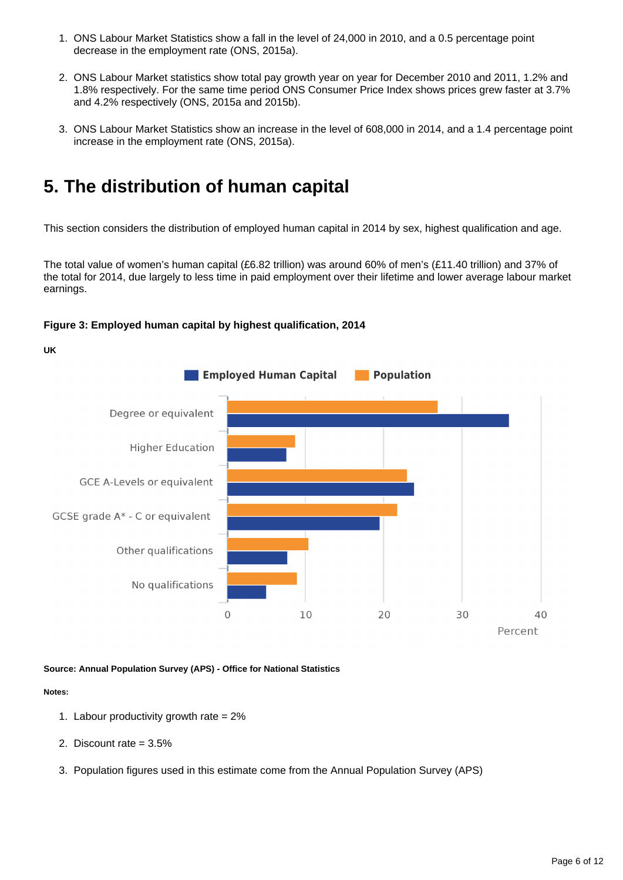- 1. ONS Labour Market Statistics show a fall in the level of 24,000 in 2010, and a 0.5 percentage point decrease in the employment rate (ONS, 2015a).
- 2. ONS Labour Market statistics show total pay growth year on year for December 2010 and 2011, 1.2% and 1.8% respectively. For the same time period ONS Consumer Price Index shows prices grew faster at 3.7% and 4.2% respectively (ONS, 2015a and 2015b).
- 3. ONS Labour Market Statistics show an increase in the level of 608,000 in 2014, and a 1.4 percentage point increase in the employment rate (ONS, 2015a).

### <span id="page-5-0"></span>**5. The distribution of human capital**

This section considers the distribution of employed human capital in 2014 by sex, highest qualification and age.

The total value of women's human capital (£6.82 trillion) was around 60% of men's (£11.40 trillion) and 37% of the total for 2014, due largely to less time in paid employment over their lifetime and lower average labour market earnings.

#### **Figure 3: Employed human capital by highest qualification, 2014**

**UK**



#### **Source: Annual Population Survey (APS) - Office for National Statistics**

#### **Notes:**

- 1. Labour productivity growth rate = 2%
- 2. Discount rate = 3.5%
- 3. Population figures used in this estimate come from the Annual Population Survey (APS)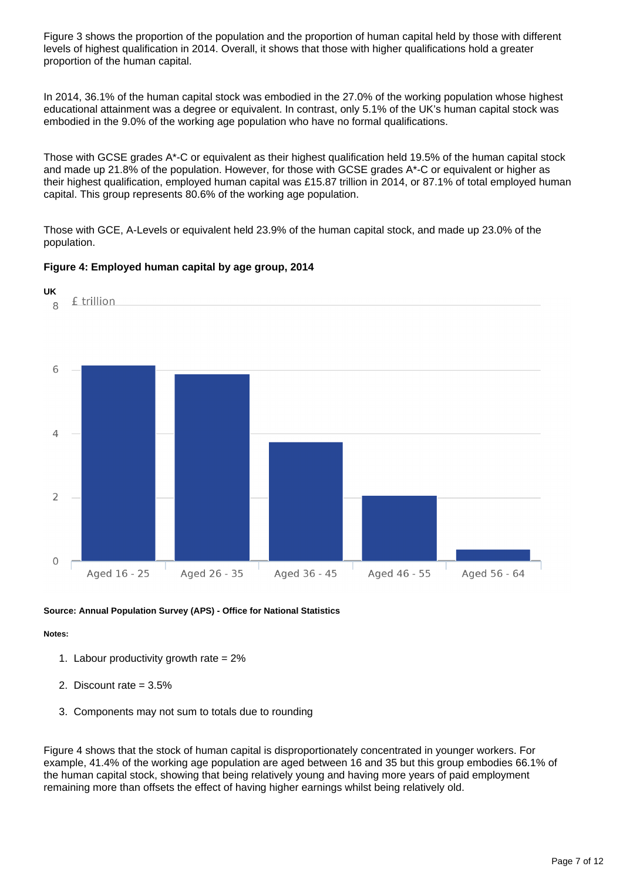Figure 3 shows the proportion of the population and the proportion of human capital held by those with different levels of highest qualification in 2014. Overall, it shows that those with higher qualifications hold a greater proportion of the human capital.

In 2014, 36.1% of the human capital stock was embodied in the 27.0% of the working population whose highest educational attainment was a degree or equivalent. In contrast, only 5.1% of the UK's human capital stock was embodied in the 9.0% of the working age population who have no formal qualifications.

Those with GCSE grades A\*-C or equivalent as their highest qualification held 19.5% of the human capital stock and made up 21.8% of the population. However, for those with GCSE grades A\*-C or equivalent or higher as their highest qualification, employed human capital was £15.87 trillion in 2014, or 87.1% of total employed human capital. This group represents 80.6% of the working age population.

Those with GCE, A-Levels or equivalent held 23.9% of the human capital stock, and made up 23.0% of the population.

#### **Figure 4: Employed human capital by age group, 2014**



#### **Source: Annual Population Survey (APS) - Office for National Statistics**

#### **Notes:**

- 1. Labour productivity growth rate = 2%
- 2. Discount rate = 3.5%
- 3. Components may not sum to totals due to rounding

Figure 4 shows that the stock of human capital is disproportionately concentrated in younger workers. For example, 41.4% of the working age population are aged between 16 and 35 but this group embodies 66.1% of the human capital stock, showing that being relatively young and having more years of paid employment remaining more than offsets the effect of having higher earnings whilst being relatively old.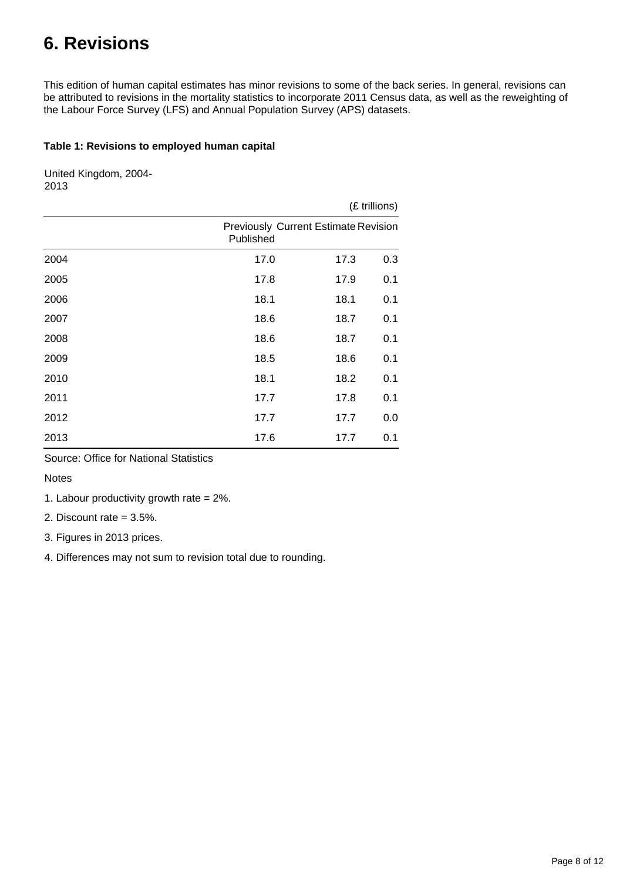## <span id="page-7-0"></span>**6. Revisions**

This edition of human capital estimates has minor revisions to some of the back series. In general, revisions can be attributed to revisions in the mortality statistics to incorporate 2011 Census data, as well as the reweighting of the Labour Force Survey (LFS) and Annual Population Survey (APS) datasets.

#### **Table 1: Revisions to employed human capital**

United Kingdom, 2004- 2013

|      |                                                          |      | (£ trillions) |  |  |
|------|----------------------------------------------------------|------|---------------|--|--|
|      | <b>Previously Current Estimate Revision</b><br>Published |      |               |  |  |
| 2004 | 17.0                                                     | 17.3 | 0.3           |  |  |
| 2005 | 17.8                                                     | 17.9 | 0.1           |  |  |
| 2006 | 18.1                                                     | 18.1 | 0.1           |  |  |
| 2007 | 18.6                                                     | 18.7 | 0.1           |  |  |
| 2008 | 18.6                                                     | 18.7 | 0.1           |  |  |
| 2009 | 18.5                                                     | 18.6 | 0.1           |  |  |
| 2010 | 18.1                                                     | 18.2 | 0.1           |  |  |
| 2011 | 17.7                                                     | 17.8 | 0.1           |  |  |
| 2012 | 17.7                                                     | 17.7 | 0.0           |  |  |
| 2013 | 17.6                                                     | 17.7 | 0.1           |  |  |

Source: Office for National Statistics

Notes

1. Labour productivity growth rate  $= 2\%$ .

2. Discount rate = 3.5%.

3. Figures in 2013 prices.

4. Differences may not sum to revision total due to rounding.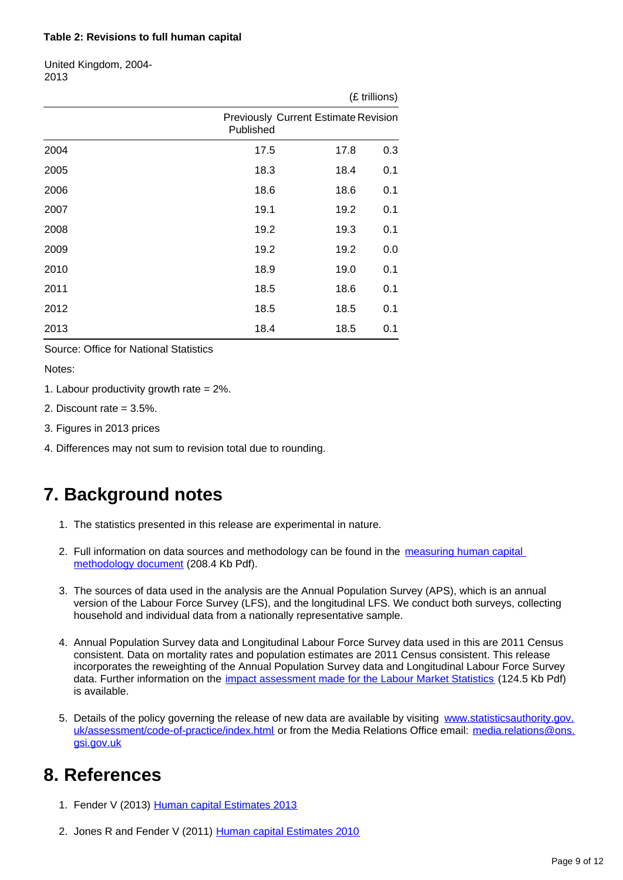#### **Table 2: Revisions to full human capital**

United Kingdom, 2004- 2013

|      | (£ trillions) |                                             |     |  |
|------|---------------|---------------------------------------------|-----|--|
|      | Published     | <b>Previously Current Estimate Revision</b> |     |  |
| 2004 | 17.5          | 17.8                                        | 0.3 |  |
| 2005 | 18.3          | 18.4                                        | 0.1 |  |
| 2006 | 18.6          | 18.6                                        | 0.1 |  |
| 2007 | 19.1          | 19.2                                        | 0.1 |  |
| 2008 | 19.2          | 19.3                                        | 0.1 |  |
| 2009 | 19.2          | 19.2                                        | 0.0 |  |
| 2010 | 18.9          | 19.0                                        | 0.1 |  |
| 2011 | 18.5          | 18.6                                        | 0.1 |  |
| 2012 | 18.5          | 18.5                                        | 0.1 |  |
| 2013 | 18.4          | 18.5                                        | 0.1 |  |

#### Source: Office for National Statistics

Notes:

- 1. Labour productivity growth rate = 2%.
- 2. Discount rate = 3.5%.
- 3. Figures in 2013 prices
- 4. Differences may not sum to revision total due to rounding.

### <span id="page-8-0"></span>**7. Background notes**

- 1. The statistics presented in this release are experimental in nature.
- 2. Full information on data sources and methodology can be found in the measuring human capital [methodology document](http://www.ons.gov.uk/ons/guide-method/user-guidance/well-being/publications/human-capital---methodology-paper.pdf) (208.4 Kb Pdf).
- 3. The sources of data used in the analysis are the Annual Population Survey (APS), which is an annual version of the Labour Force Survey (LFS), and the longitudinal LFS. We conduct both surveys, collecting household and individual data from a nationally representative sample.
- 4. Annual Population Survey data and Longitudinal Labour Force Survey data used in this are 2011 Census consistent. Data on mortality rates and population estimates are 2011 Census consistent. This release incorporates the reweighting of the Annual Population Survey data and Longitudinal Labour Force Survey data. Further information on the *[impact assessment made for the Labour Market Statistics](http://www.ons.gov.uk/ons/guide-method/method-quality/specific/labour-market/articles-and-reports/census-based-reweighting-of-the-lfs--summary-of-detailed-impact-assessment.pdf)* (124.5 Kb Pdf) is available.
- 5. Details of the policy governing the release of new data are available by visiting [www.statisticsauthority.gov.](http://www.statisticsauthority.gov.uk/assessment/code-of-practice/index.html) [uk/assessment/code-of-practice/index.html](http://www.statisticsauthority.gov.uk/assessment/code-of-practice/index.html) or from the Media Relations Office email: media.relations@ons. gsi.gov.uk

### <span id="page-8-1"></span>**8. References**

- 1. Fender V (2013) [Human capital Estimates 2013](http://www.ons.gov.uk/ons/rel/wellbeing/human-capital-estimates/2013/index.html)
- 2. Jones R and Fender V (2011) [Human capital Estimates 2010](http://www.ons.gov.uk/ons/rel/wellbeing/human-capital-estimates/2010/index.html)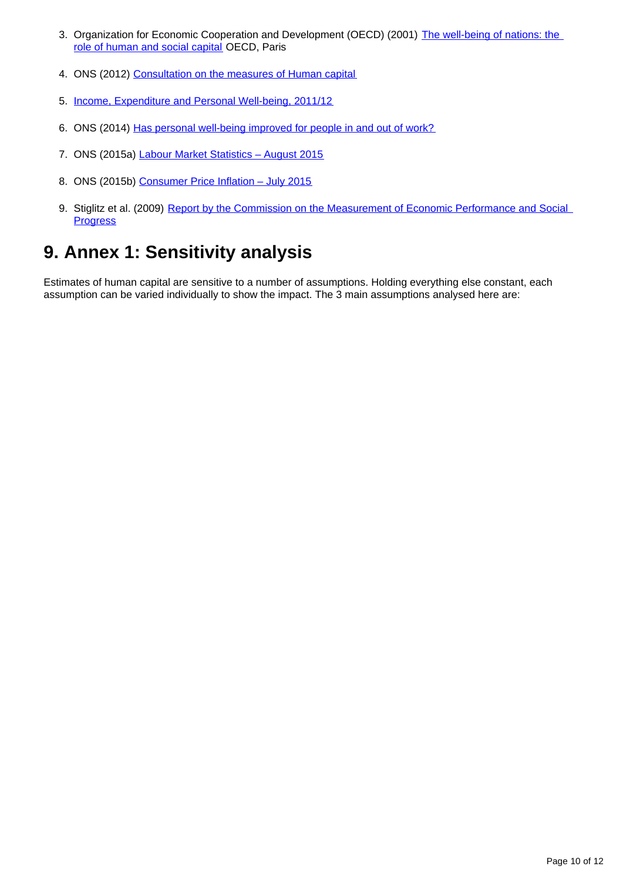- 3. Organization for Economic Cooperation and Development (OECD) (2001) [The well-being of nations: the](http://www.oecd.org/site/worldforum/33703702.pdf)  [role of human and social capital](http://www.oecd.org/site/worldforum/33703702.pdf) OECD, Paris
- 4. ONS (2012) [Consultation on the measures of Human capital](http://www.ons.gov.uk/ons/about-ons/get-involved/consultations-and-user-surveys/consultations/human-capital-consultation/index.html)
- 5. [Income, Expenditure and Personal Well-being, 2011/12](http://www.ons.gov.uk/ons/rel/wellbeing/measuring-national-well-being/income--expenditure-and-personal-well-being/index.html)
- 6. ONS (2014) [Has personal well-being improved for people in and out of work?](http://www.ons.gov.uk/ons/rel/wellbeing/measuring-national-well-being/personal-well-being-in-the-uk--2013-14/sty-personal-well-being-and-work.html)
- 7. ONS (2015a) Labour Market Statistics August 2015
- 8. ONS (2015b) Consumer Price Inflation July 2015
- 9. Stiglitz et al. (2009) Report by the Commission on the Measurement of Economic Performance and Social **[Progress](http://ec.europa.eu/eurostat/documents/118025/118123/Fitoussi+Commission+report)**

## <span id="page-9-0"></span>**9. Annex 1: Sensitivity analysis**

Estimates of human capital are sensitive to a number of assumptions. Holding everything else constant, each assumption can be varied individually to show the impact. The 3 main assumptions analysed here are: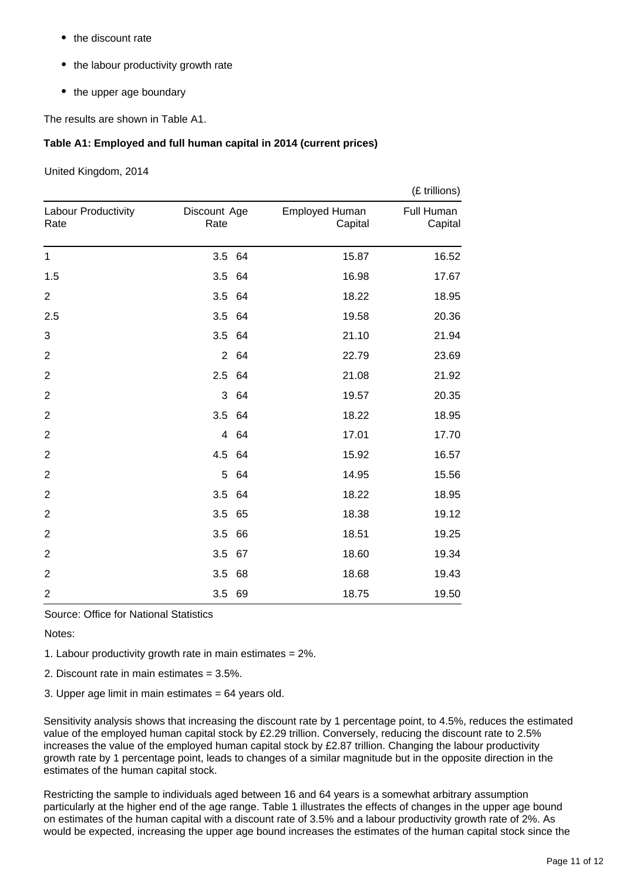- the discount rate
- the labour productivity growth rate
- the upper age boundary

The results are shown in Table A1.

#### **Table A1: Employed and full human capital in 2014 (current prices)**

United Kingdom, 2014

|                             |                      |      |                           | (£ trillions)         |
|-----------------------------|----------------------|------|---------------------------|-----------------------|
| Labour Productivity<br>Rate | Discount Age<br>Rate |      | Employed Human<br>Capital | Full Human<br>Capital |
| $\mathbf{1}$                | 3.5 64               |      | 15.87                     | 16.52                 |
| 1.5                         | 3.5 64               |      | 16.98                     | 17.67                 |
| $\overline{2}$              | 3.5                  | 64   | 18.22                     | 18.95                 |
| 2.5                         | 3.5 64               |      | 19.58                     | 20.36                 |
| 3                           | 3.5                  | 64   | 21.10                     | 21.94                 |
| $\overline{2}$              |                      | 2 64 | 22.79                     | 23.69                 |
| $\overline{2}$              | 2.5 64               |      | 21.08                     | 21.92                 |
| $\overline{2}$              | 3                    | 64   | 19.57                     | 20.35                 |
| $\overline{2}$              | 3.5 64               |      | 18.22                     | 18.95                 |
| $\boldsymbol{2}$            | $\overline{4}$       | 64   | 17.01                     | 17.70                 |
| $\overline{2}$              | 4.5 64               |      | 15.92                     | 16.57                 |
| $\overline{2}$              | 5                    | 64   | 14.95                     | 15.56                 |
| $\overline{2}$              | 3.5 64               |      | 18.22                     | 18.95                 |
| $\overline{2}$              | 3.5                  | 65   | 18.38                     | 19.12                 |
| $\overline{2}$              | 3.5                  | 66   | 18.51                     | 19.25                 |
| $\overline{2}$              | 3.5 67               |      | 18.60                     | 19.34                 |
| $\overline{2}$              | 3.5                  | 68   | 18.68                     | 19.43                 |
| $\overline{2}$              | 3.5 69               |      | 18.75                     | 19.50                 |

Source: Office for National Statistics

Notes:

1. Labour productivity growth rate in main estimates = 2%.

2. Discount rate in main estimates = 3.5%.

3. Upper age limit in main estimates = 64 years old.

Sensitivity analysis shows that increasing the discount rate by 1 percentage point, to 4.5%, reduces the estimated value of the employed human capital stock by £2.29 trillion. Conversely, reducing the discount rate to 2.5% increases the value of the employed human capital stock by £2.87 trillion. Changing the labour productivity growth rate by 1 percentage point, leads to changes of a similar magnitude but in the opposite direction in the estimates of the human capital stock.

Restricting the sample to individuals aged between 16 and 64 years is a somewhat arbitrary assumption particularly at the higher end of the age range. Table 1 illustrates the effects of changes in the upper age bound on estimates of the human capital with a discount rate of 3.5% and a labour productivity growth rate of 2%. As would be expected, increasing the upper age bound increases the estimates of the human capital stock since the